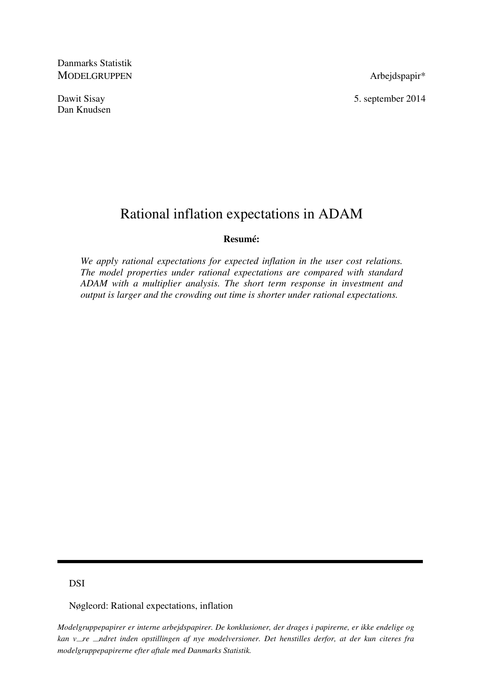Danmarks Statistik MODELGRUPPEN Arbejdspapir\*

Dan Knudsen

Dawit Sisay 5. september 2014

# Rational inflation expectations in ADAM

## **Resumé:**

*We apply rational expectations for expected inflation in the user cost relations. The model properties under rational expectations are compared with standard ADAM with a multiplier analysis. The short term response in investment and output is larger and the crowding out time is shorter under rational expectations.* 

# DSI

Nøgleord: Rational expectations, inflation

*Modelgruppepapirer er interne arbejdspapirer. De konklusioner, der drages i papirerne, er ikke endelige og kan vre ndret inden opstillingen af nye modelversioner. Det henstilles derfor, at der kun citeres fra modelgruppepapirerne efter aftale med Danmarks Statistik.*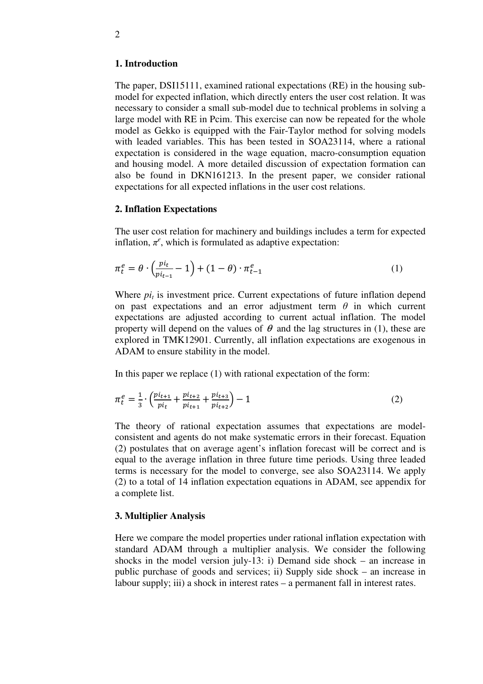#### **1. Introduction**

The paper, DSI15111, examined rational expectations (RE) in the housing submodel for expected inflation, which directly enters the user cost relation. It was necessary to consider a small sub-model due to technical problems in solving a large model with RE in Pcim. This exercise can now be repeated for the whole model as Gekko is equipped with the Fair-Taylor method for solving models with leaded variables. This has been tested in SOA23114, where a rational expectation is considered in the wage equation, macro-consumption equation and housing model. A more detailed discussion of expectation formation can also be found in DKN161213. In the present paper, we consider rational expectations for all expected inflations in the user cost relations.

### **2. Inflation Expectations**

The user cost relation for machinery and buildings includes a term for expected inflation,  $\pi^e$ , which is formulated as adaptive expectation:

$$
\pi_t^e = \theta \cdot \left(\frac{pi_t}{pi_{t-1}} - 1\right) + (1 - \theta) \cdot \pi_{t-1}^e \tag{1}
$$

Where  $pi_t$  is investment price. Current expectations of future inflation depend on past expectations and an error adjustment term  $\theta$  in which current expectations are adjusted according to current actual inflation. The model property will depend on the values of  $\theta$  and the lag structures in (1), these are explored in TMK12901. Currently, all inflation expectations are exogenous in ADAM to ensure stability in the model.

In this paper we replace (1) with rational expectation of the form:

$$
\pi_t^e = \frac{1}{3} \cdot \left( \frac{pi_{t+1}}{pi_t} + \frac{pi_{t+2}}{pi_{t+1}} + \frac{pi_{t+3}}{pi_{t+2}} \right) - 1 \tag{2}
$$

The theory of rational expectation assumes that expectations are modelconsistent and agents do not make systematic errors in their forecast. Equation (2) postulates that on average agent's inflation forecast will be correct and is equal to the average inflation in three future time periods. Using three leaded terms is necessary for the model to converge, see also SOA23114. We apply (2) to a total of 14 inflation expectation equations in ADAM, see appendix for a complete list.

#### **3. Multiplier Analysis**

Here we compare the model properties under rational inflation expectation with standard ADAM through a multiplier analysis. We consider the following shocks in the model version july-13: i) Demand side shock – an increase in public purchase of goods and services; ii) Supply side shock – an increase in labour supply; iii) a shock in interest rates – a permanent fall in interest rates.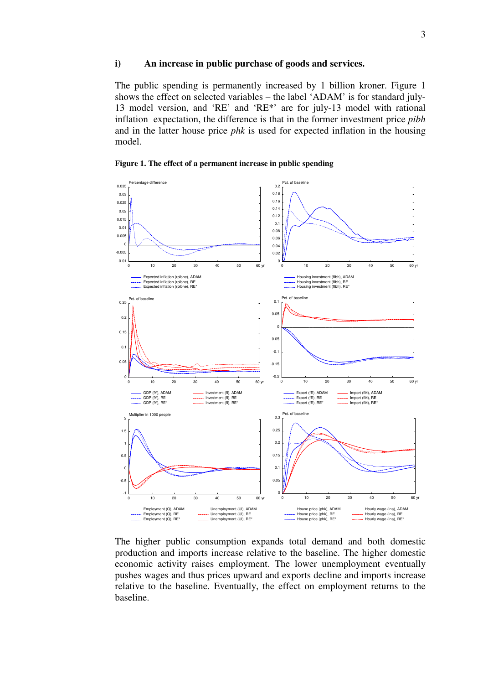#### **i) An increase in public purchase of goods and services.**

The public spending is permanently increased by 1 billion kroner. Figure 1 shows the effect on selected variables – the label 'ADAM' is for standard july-13 model version, and 'RE' and 'RE\*' are for july-13 model with rational inflation expectation, the difference is that in the former investment price *pibh* and in the latter house price *phk* is used for expected inflation in the housing model.





The higher public consumption expands total demand and both domestic production and imports increase relative to the baseline. The higher domestic economic activity raises employment. The lower unemployment eventually pushes wages and thus prices upward and exports decline and imports increase relative to the baseline. Eventually, the effect on employment returns to the baseline.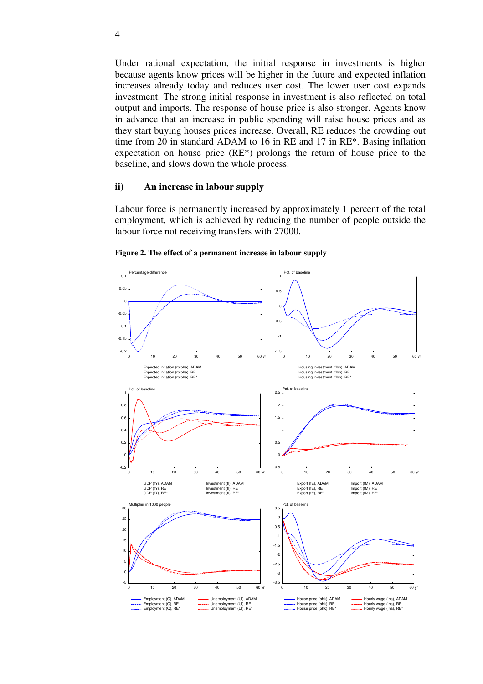Under rational expectation, the initial response in investments is higher because agents know prices will be higher in the future and expected inflation increases already today and reduces user cost. The lower user cost expands investment. The strong initial response in investment is also reflected on total output and imports. The response of house price is also stronger. Agents know in advance that an increase in public spending will raise house prices and as they start buying houses prices increase. Overall, RE reduces the crowding out time from 20 in standard ADAM to 16 in RE and 17 in RE\*. Basing inflation expectation on house price (RE\*) prolongs the return of house price to the baseline, and slows down the whole process.

#### **ii) An increase in labour supply**

Labour force is permanently increased by approximately 1 percent of the total employment, which is achieved by reducing the number of people outside the labour force not receiving transfers with 27000.



**Figure 2. The effect of a permanent increase in labour supply**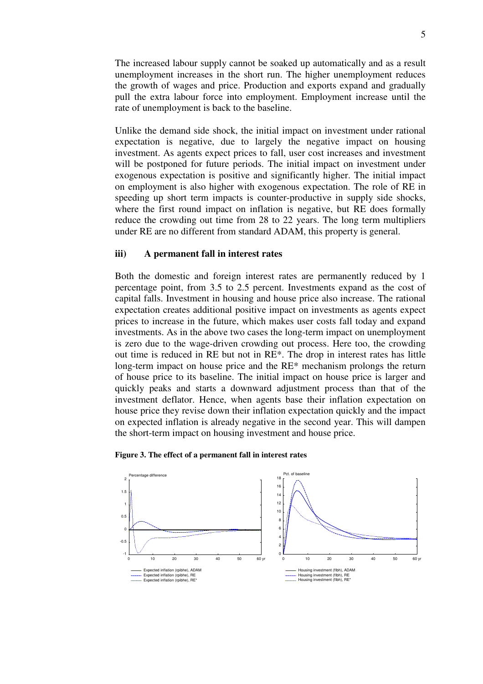The increased labour supply cannot be soaked up automatically and as a result unemployment increases in the short run. The higher unemployment reduces the growth of wages and price. Production and exports expand and gradually pull the extra labour force into employment. Employment increase until the rate of unemployment is back to the baseline.

Unlike the demand side shock, the initial impact on investment under rational expectation is negative, due to largely the negative impact on housing investment. As agents expect prices to fall, user cost increases and investment will be postponed for future periods. The initial impact on investment under exogenous expectation is positive and significantly higher. The initial impact on employment is also higher with exogenous expectation. The role of RE in speeding up short term impacts is counter-productive in supply side shocks, where the first round impact on inflation is negative, but RE does formally reduce the crowding out time from 28 to 22 years. The long term multipliers under RE are no different from standard ADAM, this property is general.

#### **iii) A permanent fall in interest rates**

Both the domestic and foreign interest rates are permanently reduced by 1 percentage point, from 3.5 to 2.5 percent. Investments expand as the cost of capital falls. Investment in housing and house price also increase. The rational expectation creates additional positive impact on investments as agents expect prices to increase in the future, which makes user costs fall today and expand investments. As in the above two cases the long-term impact on unemployment is zero due to the wage-driven crowding out process. Here too, the crowding out time is reduced in RE but not in RE\*. The drop in interest rates has little long-term impact on house price and the RE\* mechanism prolongs the return of house price to its baseline. The initial impact on house price is larger and quickly peaks and starts a downward adjustment process than that of the investment deflator. Hence, when agents base their inflation expectation on house price they revise down their inflation expectation quickly and the impact on expected inflation is already negative in the second year. This will dampen the short-term impact on housing investment and house price.



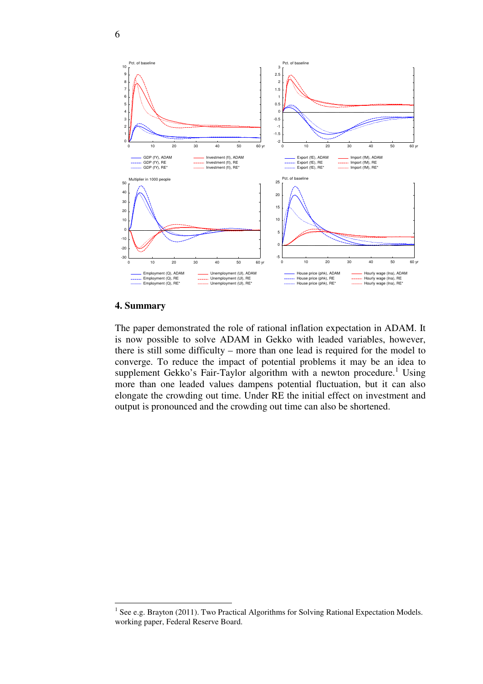

#### **4. Summary**

<u>.</u>

The paper demonstrated the role of rational inflation expectation in ADAM. It is now possible to solve ADAM in Gekko with leaded variables, however, there is still some difficulty – more than one lead is required for the model to converge. To reduce the impact of potential problems it may be an idea to supplement Gekko's Fair-Taylor algorithm with a newton procedure.<sup>1</sup> Using more than one leaded values dampens potential fluctuation, but it can also elongate the crowding out time. Under RE the initial effect on investment and output is pronounced and the crowding out time can also be shortened.

 $<sup>1</sup>$  See e.g. Brayton (2011). Two Practical Algorithms for Solving Rational Expectation Models.</sup> working paper, Federal Reserve Board.